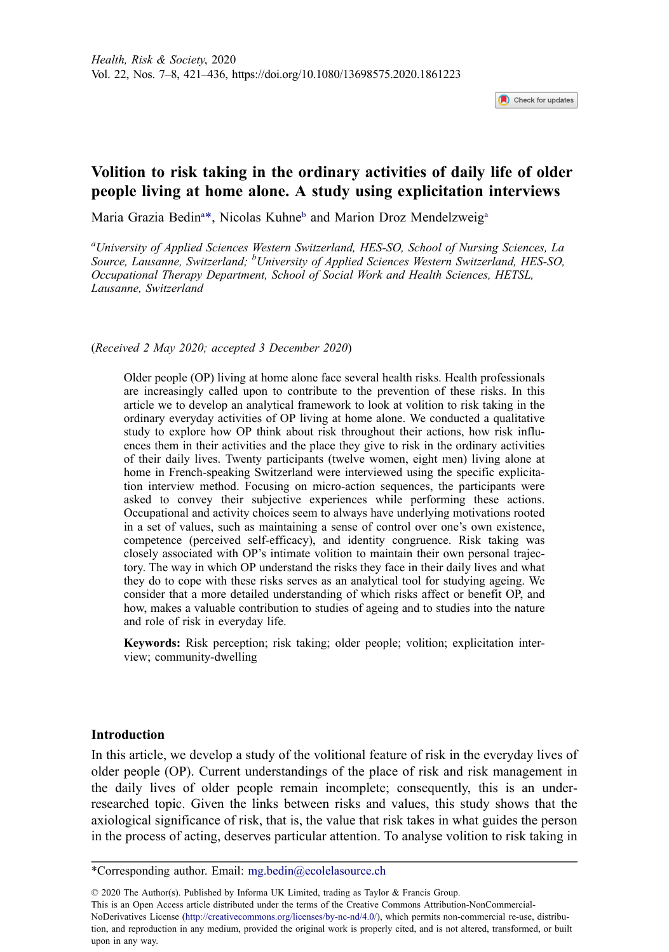Check for updates

# **Volition to risk taking in the ordinary activities of daily life of older people living at home alone. A study using explicitation interviews**

Maria Grazia Bedin<sup>a[\\*](#page-0-1)</sup>, Nicolas Kuhne<sup>b</sup> and Marion Droz Mendelzweig<sup>a</sup>

<span id="page-0-2"></span><span id="page-0-0"></span>*a University of Applied Sciences Western Switzerland, HES-SO, School of Nursing Sciences, La Source, Lausanne, Switzerland; <sup>b</sup> University of Applied Sciences Western Switzerland, HES-SO, Occupational Therapy Department, School of Social Work and Health Sciences, HETSL, Lausanne, Switzerland*

(*Received 2 May 2020; accepted 3 December 2020*)

Older people (OP) living at home alone face several health risks. Health professionals are increasingly called upon to contribute to the prevention of these risks. In this article we to develop an analytical framework to look at volition to risk taking in the ordinary everyday activities of OP living at home alone. We conducted a qualitative study to explore how OP think about risk throughout their actions, how risk influences them in their activities and the place they give to risk in the ordinary activities of their daily lives. Twenty participants (twelve women, eight men) living alone at home in French-speaking Switzerland were interviewed using the specific explicitation interview method. Focusing on micro-action sequences, the participants were asked to convey their subjective experiences while performing these actions. Occupational and activity choices seem to always have underlying motivations rooted in a set of values, such as maintaining a sense of control over one's own existence, competence (perceived self-efficacy), and identity congruence. Risk taking was closely associated with OP's intimate volition to maintain their own personal trajectory. The way in which OP understand the risks they face in their daily lives and what they do to cope with these risks serves as an analytical tool for studying ageing. We consider that a more detailed understanding of which risks affect or benefit OP, and how, makes a valuable contribution to studies of ageing and to studies into the nature and role of risk in everyday life.

**Keywords:** Risk perception; risk taking; older people; volition; explicitation interview; community-dwelling

#### **Introduction**

In this article, we develop a study of the volitional feature of risk in the everyday lives of older people (OP). Current understandings of the place of risk and risk management in the daily lives of older people remain incomplete; consequently, this is an underresearched topic. Given the links between risks and values, this study shows that the axiological significance of risk, that is, the value that risk takes in what guides the person in the process of acting, deserves particular attention. To analyse volition to risk taking in

© 2020 The Author(s). Published by Informa UK Limited, trading as Taylor & Francis Group. This is an Open Access article distributed under the terms of the Creative Commons Attribution-NonCommercial-NoDerivatives License (http://creativecommons.org/licenses/by-nc-nd/4.0/), which permits non-commercial re-use, distribution, and reproduction in any medium, provided the original work is properly cited, and is not altered, transformed, or built upon in any way.

<span id="page-0-1"></span><sup>\*</sup>Corresponding author. Email: mg.bedin@ecolelasource.ch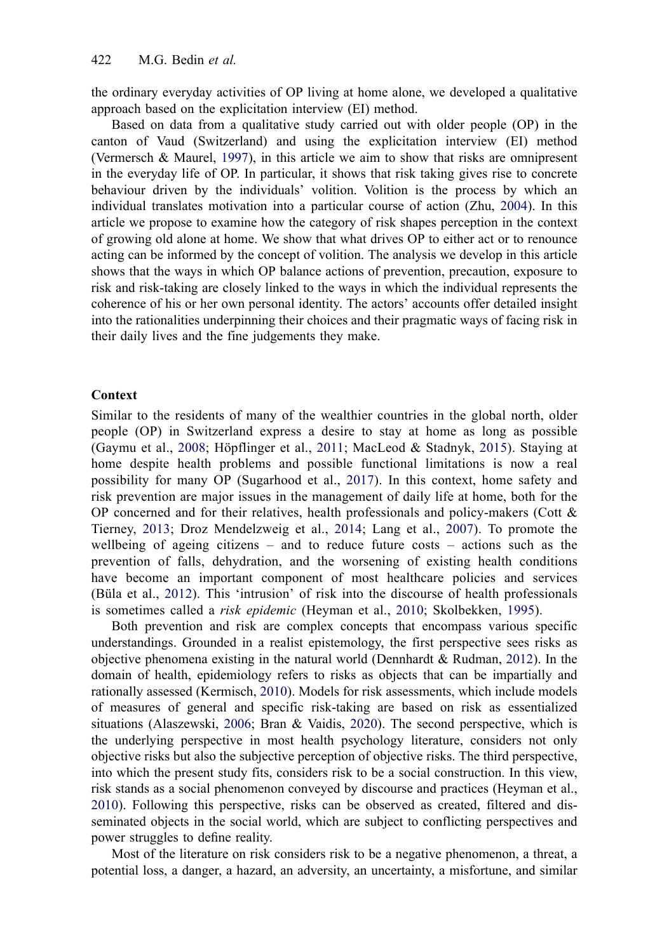the ordinary everyday activities of OP living at home alone, we developed a qualitative approach based on the explicitation interview (EI) method.

<span id="page-1-10"></span><span id="page-1-9"></span>Based on data from a qualitative study carried out with older people (OP) in the canton of Vaud (Switzerland) and using the explicitation interview (EI) method (Vermersch & Maurel, [1997](#page-15-0)), in this article we aim to show that risks are omnipresent in the everyday life of OP. In particular, it shows that risk taking gives rise to concrete behaviour driven by the individuals' volition. Volition is the process by which an individual translates motivation into a particular course of action (Zhu, [2004](#page-15-1)). In this article we propose to examine how the category of risk shapes perception in the context of growing old alone at home. We show that what drives OP to either act or to renounce acting can be informed by the concept of volition. The analysis we develop in this article shows that the ways in which OP balance actions of prevention, precaution, exposure to risk and risk-taking are closely linked to the ways in which the individual represents the coherence of his or her own personal identity. The actors' accounts offer detailed insight into the rationalities underpinning their choices and their pragmatic ways of facing risk in their daily lives and the fine judgements they make.

#### **Context**

<span id="page-1-8"></span><span id="page-1-4"></span>Similar to the residents of many of the wealthier countries in the global north, older people (OP) in Switzerland express a desire to stay at home as long as possible (Gaymu et al., [2008;](#page-14-0) Höpflinger et al., [2011;](#page-14-1) MacLeod & Stadnyk, [2015](#page-14-2)). Staying at home despite health problems and possible functional limitations is now a real possibility for many OP (Sugarhood et al., [2017](#page-15-2)). In this context, home safety and risk prevention are major issues in the management of daily life at home, both for the OP concerned and for their relatives, health professionals and policy-makers (Cott  $\&$ Tierney, [2013;](#page-13-0) Droz Mendelzweig et al., [2014](#page-14-3); Lang et al., [2007](#page-14-4)). To promote the wellbeing of ageing citizens – and to reduce future costs – actions such as the prevention of falls, dehydration, and the worsening of existing health conditions have become an important component of most healthcare policies and services (Büla et al., [2012\)](#page-13-1). This 'intrusion' of risk into the discourse of health professionals is sometimes called a *risk epidemic* (Heyman et al., [2010;](#page-14-5) Skolbekken, [1995\)](#page-15-3).

<span id="page-1-7"></span><span id="page-1-6"></span><span id="page-1-3"></span><span id="page-1-2"></span><span id="page-1-1"></span><span id="page-1-0"></span>Both prevention and risk are complex concepts that encompass various specific understandings. Grounded in a realist epistemology, the first perspective sees risks as objective phenomena existing in the natural world (Dennhardt & Rudman, [2012](#page-14-6)). In the domain of health, epidemiology refers to risks as objects that can be impartially and rationally assessed (Kermisch, [2010\)](#page-14-7). Models for risk assessments, which include models of measures of general and specific risk-taking are based on risk as essentialized situations (Alaszewski, [2006](#page-13-2); Bran & Vaidis, [2020](#page-13-3)). The second perspective, which is the underlying perspective in most health psychology literature, considers not only objective risks but also the subjective perception of objective risks. The third perspective, into which the present study fits, considers risk to be a social construction. In this view, risk stands as a social phenomenon conveyed by discourse and practices (Heyman et al., [2010](#page-14-5)). Following this perspective, risks can be observed as created, filtered and disseminated objects in the social world, which are subject to conflicting perspectives and power struggles to define reality.

<span id="page-1-5"></span>Most of the literature on risk considers risk to be a negative phenomenon, a threat, a potential loss, a danger, a hazard, an adversity, an uncertainty, a misfortune, and similar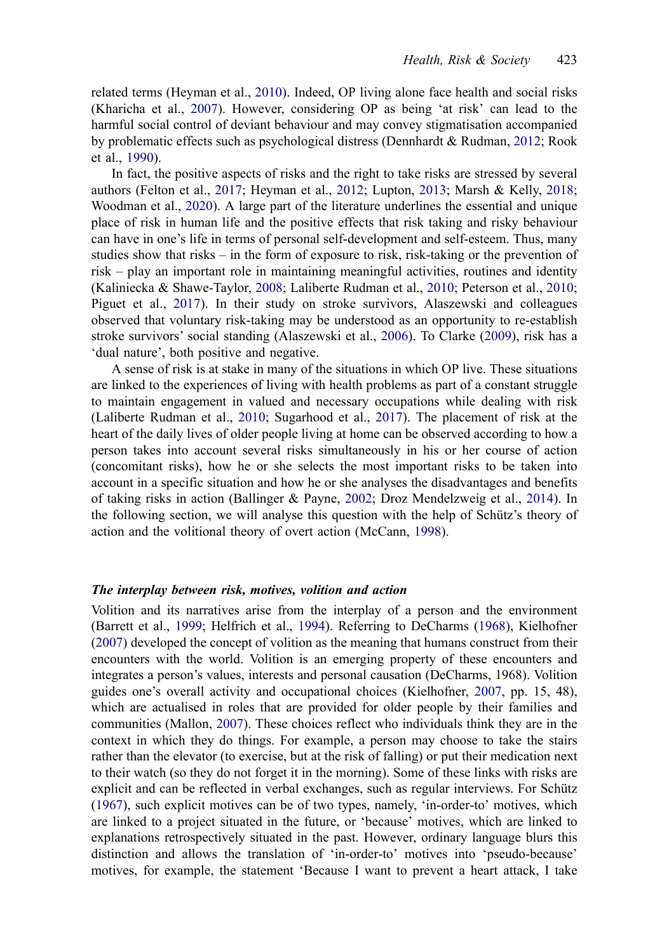<span id="page-2-5"></span>related terms (Heyman et al., [2010](#page-14-5)). Indeed, OP living alone face health and social risks (Kharicha et al., [2007\)](#page-14-8). However, considering OP as being 'at risk' can lead to the harmful social control of deviant behaviour and may convey stigmatisation accompanied by problematic effects such as psychological distress (Dennhardt & Rudman, [2012;](#page-14-6) Rook et al., [1990](#page-15-4)).

<span id="page-2-13"></span><span id="page-2-11"></span><span id="page-2-3"></span>In fact, the positive aspects of risks and the right to take risks are stressed by several authors (Felton et al., [2017;](#page-14-9) Heyman et al., [2012](#page-14-10); Lupton, [2013](#page-14-11); Marsh & Kelly, [2018](#page-14-12); Woodman et al., [2020\)](#page-15-5). A large part of the literature underlines the essential and unique place of risk in human life and the positive effects that risk taking and risky behaviour can have in one's life in terms of personal self-development and self-esteem. Thus, many studies show that risks – in the form of exposure to risk, risk-taking or the prevention of risk – play an important role in maintaining meaningful activities, routines and identity (Kaliniecka & Shawe-Taylor, [2008;](#page-14-13) Laliberte Rudman et al., [2010](#page-14-14); Peterson et al., [2010](#page-15-6); Piguet et al., [2017\)](#page-15-7). In their study on stroke survivors, Alaszewski and colleagues observed that voluntary risk-taking may be understood as an opportunity to re-establish stroke survivors' social standing (Alaszewski et al., [2006](#page-13-4)). To Clarke [\(2009](#page-13-5)), risk has a 'dual nature', both positive and negative.

<span id="page-2-10"></span><span id="page-2-7"></span><span id="page-2-4"></span><span id="page-2-0"></span>A sense of risk is at stake in many of the situations in which OP live. These situations are linked to the experiences of living with health problems as part of a constant struggle to maintain engagement in valued and necessary occupations while dealing with risk (Laliberte Rudman et al., [2010;](#page-14-14) Sugarhood et al., [2017](#page-15-2)). The placement of risk at the heart of the daily lives of older people living at home can be observed according to how a person takes into account several risks simultaneously in his or her course of action (concomitant risks), how he or she selects the most important risks to be taken into account in a specific situation and how he or she analyses the disadvantages and benefits of taking risks in action (Ballinger & Payne, [2002;](#page-13-6) Droz Mendelzweig et al., [2014](#page-14-3)). In the following section, we will analyse this question with the help of Schütz's theory of action and the volitional theory of overt action (McCann, [1998\)](#page-14-15).

#### <span id="page-2-9"></span><span id="page-2-1"></span>*The interplay between risk, motives, volition and action*

<span id="page-2-12"></span><span id="page-2-8"></span><span id="page-2-6"></span><span id="page-2-2"></span>Volition and its narratives arise from the interplay of a person and the environment (Barrett et al., [1999](#page-13-7); Helfrich et al., [1994\)](#page-14-16). Referring to DeCharms [\(1968](#page-13-8)), Kielhofner ([2007\)](#page-14-17) developed the concept of volition as the meaning that humans construct from their encounters with the world. Volition is an emerging property of these encounters and integrates a person's values, interests and personal causation (DeCharms, 1968). Volition guides one's overall activity and occupational choices (Kielhofner, [2007](#page-14-17), pp. 15, 48), which are actualised in roles that are provided for older people by their families and communities (Mallon, [2007\)](#page-14-18). These choices reflect who individuals think they are in the context in which they do things. For example, a person may choose to take the stairs rather than the elevator (to exercise, but at the risk of falling) or put their medication next to their watch (so they do not forget it in the morning). Some of these links with risks are explicit and can be reflected in verbal exchanges, such as regular interviews. For Schütz ([1967\)](#page-15-8), such explicit motives can be of two types, namely, 'in-order-to' motives, which are linked to a project situated in the future, or 'because' motives, which are linked to explanations retrospectively situated in the past. However, ordinary language blurs this distinction and allows the translation of 'in-order-to' motives into 'pseudo-because' motives, for example, the statement 'Because I want to prevent a heart attack, I take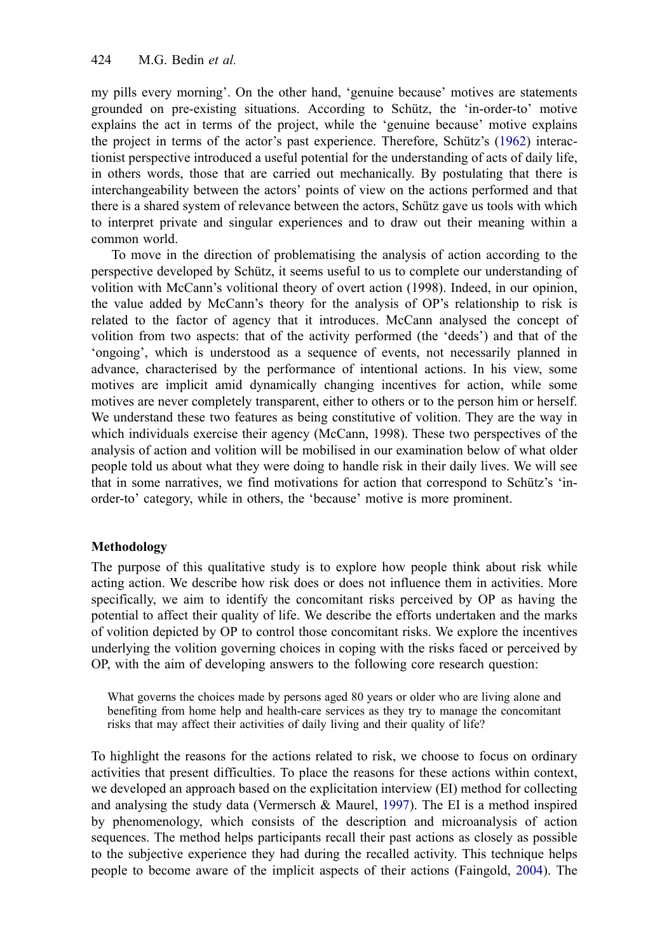<span id="page-3-1"></span>my pills every morning'. On the other hand, 'genuine because' motives are statements grounded on pre-existing situations. According to Schütz, the 'in-order-to' motive explains the act in terms of the project, while the 'genuine because' motive explains the project in terms of the actor's past experience. Therefore, Schütz's [\(1962](#page-15-9)) interactionist perspective introduced a useful potential for the understanding of acts of daily life, in others words, those that are carried out mechanically. By postulating that there is interchangeability between the actors' points of view on the actions performed and that there is a shared system of relevance between the actors, Schütz gave us tools with which to interpret private and singular experiences and to draw out their meaning within a common world.

To move in the direction of problematising the analysis of action according to the perspective developed by Schütz, it seems useful to us to complete our understanding of volition with McCann's volitional theory of overt action (1998). Indeed, in our opinion, the value added by McCann's theory for the analysis of OP's relationship to risk is related to the factor of agency that it introduces. McCann analysed the concept of volition from two aspects: that of the activity performed (the 'deeds') and that of the 'ongoing', which is understood as a sequence of events, not necessarily planned in advance, characterised by the performance of intentional actions. In his view, some motives are implicit amid dynamically changing incentives for action, while some motives are never completely transparent, either to others or to the person him or herself. We understand these two features as being constitutive of volition. They are the way in which individuals exercise their agency (McCann, 1998). These two perspectives of the analysis of action and volition will be mobilised in our examination below of what older people told us about what they were doing to handle risk in their daily lives. We will see that in some narratives, we find motivations for action that correspond to Schütz's 'inorder-to' category, while in others, the 'because' motive is more prominent.

## **Methodology**

The purpose of this qualitative study is to explore how people think about risk while acting action. We describe how risk does or does not influence them in activities. More specifically, we aim to identify the concomitant risks perceived by OP as having the potential to affect their quality of life. We describe the efforts undertaken and the marks of volition depicted by OP to control those concomitant risks. We explore the incentives underlying the volition governing choices in coping with the risks faced or perceived by OP, with the aim of developing answers to the following core research question:

What governs the choices made by persons aged 80 years or older who are living alone and benefiting from home help and health-care services as they try to manage the concomitant risks that may affect their activities of daily living and their quality of life?

<span id="page-3-0"></span>To highlight the reasons for the actions related to risk, we choose to focus on ordinary activities that present difficulties. To place the reasons for these actions within context, we developed an approach based on the explicitation interview (EI) method for collecting and analysing the study data (Vermersch  $\&$  Maurel, [1997](#page-15-0)). The EI is a method inspired by phenomenology, which consists of the description and microanalysis of action sequences. The method helps participants recall their past actions as closely as possible to the subjective experience they had during the recalled activity. This technique helps people to become aware of the implicit aspects of their actions (Faingold, [2004\)](#page-14-19). The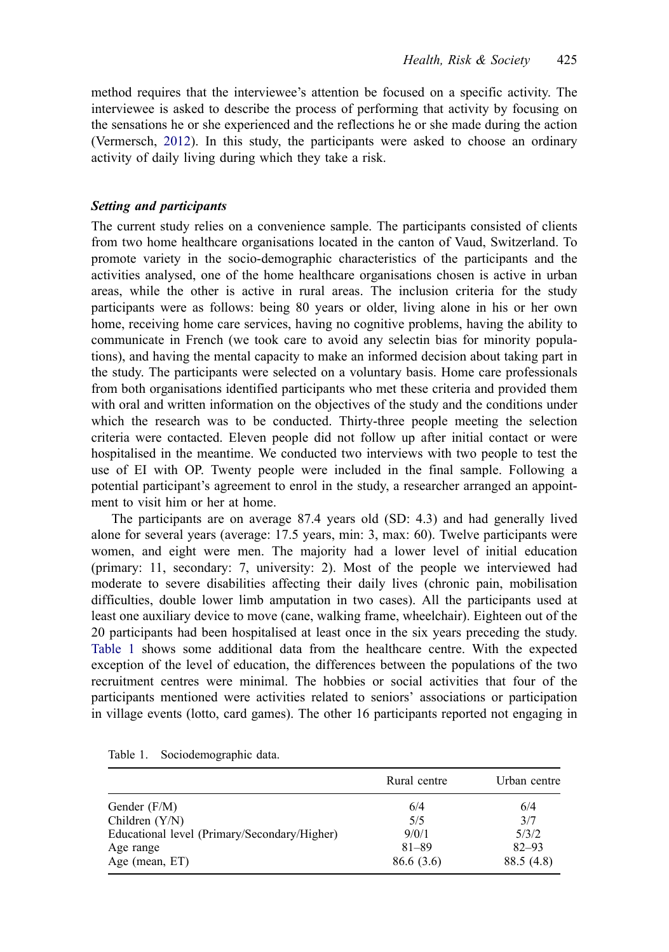<span id="page-4-1"></span>method requires that the interviewee's attention be focused on a specific activity. The interviewee is asked to describe the process of performing that activity by focusing on the sensations he or she experienced and the reflections he or she made during the action (Vermersch, [2012\)](#page-15-10). In this study, the participants were asked to choose an ordinary activity of daily living during which they take a risk.

## *Setting and participants*

The current study relies on a convenience sample. The participants consisted of clients from two home healthcare organisations located in the canton of Vaud, Switzerland. To promote variety in the socio-demographic characteristics of the participants and the activities analysed, one of the home healthcare organisations chosen is active in urban areas, while the other is active in rural areas. The inclusion criteria for the study participants were as follows: being 80 years or older, living alone in his or her own home, receiving home care services, having no cognitive problems, having the ability to communicate in French (we took care to avoid any selectin bias for minority populations), and having the mental capacity to make an informed decision about taking part in the study. The participants were selected on a voluntary basis. Home care professionals from both organisations identified participants who met these criteria and provided them with oral and written information on the objectives of the study and the conditions under which the research was to be conducted. Thirty-three people meeting the selection criteria were contacted. Eleven people did not follow up after initial contact or were hospitalised in the meantime. We conducted two interviews with two people to test the use of EI with OP. Twenty people were included in the final sample. Following a potential participant's agreement to enrol in the study, a researcher arranged an appointment to visit him or her at home.

The participants are on average 87.4 years old (SD: 4.3) and had generally lived alone for several years (average: 17.5 years, min: 3, max: 60). Twelve participants were women, and eight were men. The majority had a lower level of initial education (primary: 11, secondary: 7, university: 2). Most of the people we interviewed had moderate to severe disabilities affecting their daily lives (chronic pain, mobilisation difficulties, double lower limb amputation in two cases). All the participants used at least one auxiliary device to move (cane, walking frame, wheelchair). Eighteen out of the 20 participants had been hospitalised at least once in the six years preceding the study. [Table 1](#page-4-0) shows some additional data from the healthcare centre. With the expected exception of the level of education, the differences between the populations of the two recruitment centres were minimal. The hobbies or social activities that four of the participants mentioned were activities related to seniors' associations or participation in village events (lotto, card games). The other 16 participants reported not engaging in

|                                              | Rural centre | Urban centre |
|----------------------------------------------|--------------|--------------|
| Gender $(F/M)$                               | 6/4          | 6/4          |
| Children $(Y/N)$                             | 5/5          | 3/7          |
| Educational level (Primary/Secondary/Higher) | 9/0/1        | 5/3/2        |
| Age range                                    | $81 - 89$    | $82 - 93$    |
| Age (mean, ET)                               | 86.6(3.6)    | 88.5 (4.8)   |

<span id="page-4-0"></span>Table 1. Sociodemographic data.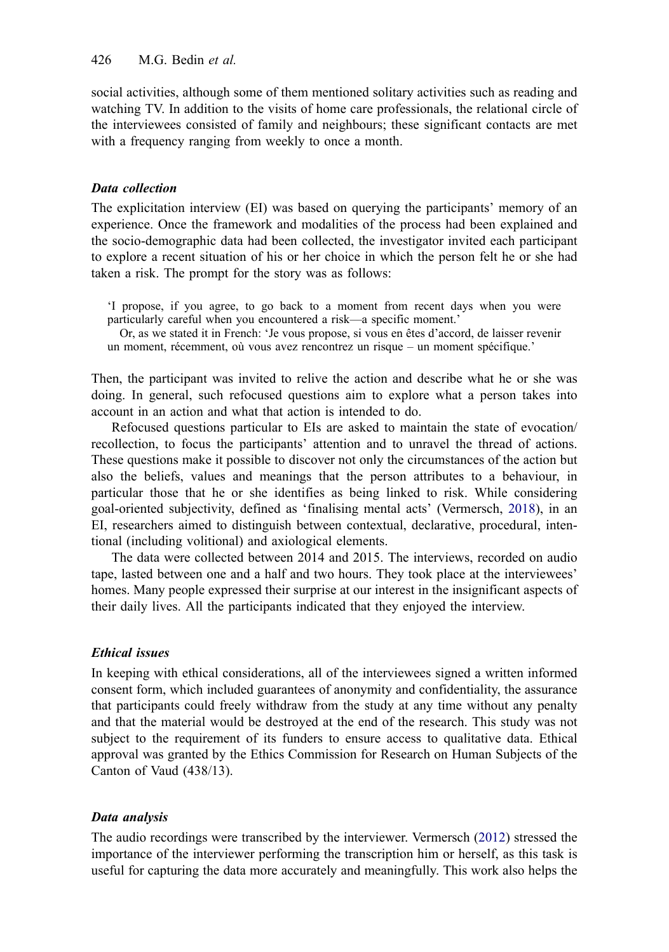social activities, although some of them mentioned solitary activities such as reading and watching TV. In addition to the visits of home care professionals, the relational circle of the interviewees consisted of family and neighbours; these significant contacts are met with a frequency ranging from weekly to once a month.

## *Data collection*

The explicitation interview (EI) was based on querying the participants' memory of an experience. Once the framework and modalities of the process had been explained and the socio-demographic data had been collected, the investigator invited each participant to explore a recent situation of his or her choice in which the person felt he or she had taken a risk. The prompt for the story was as follows:

'I propose, if you agree, to go back to a moment from recent days when you were particularly careful when you encountered a risk—a specific moment.'

Or, as we stated it in French: 'Je vous propose, si vous en êtes d'accord, de laisser revenir un moment, récemment, où vous avez rencontrez un risque – un moment spécifique.'

Then, the participant was invited to relive the action and describe what he or she was doing. In general, such refocused questions aim to explore what a person takes into account in an action and what that action is intended to do.

Refocused questions particular to EIs are asked to maintain the state of evocation/ recollection, to focus the participants' attention and to unravel the thread of actions. These questions make it possible to discover not only the circumstances of the action but also the beliefs, values and meanings that the person attributes to a behaviour, in particular those that he or she identifies as being linked to risk. While considering goal-oriented subjectivity, defined as 'finalising mental acts' (Vermersch, [2018\)](#page-15-11), in an EI, researchers aimed to distinguish between contextual, declarative, procedural, intentional (including volitional) and axiological elements.

<span id="page-5-0"></span>The data were collected between 2014 and 2015. The interviews, recorded on audio tape, lasted between one and a half and two hours. They took place at the interviewees' homes. Many people expressed their surprise at our interest in the insignificant aspects of their daily lives. All the participants indicated that they enjoyed the interview.

## *Ethical issues*

In keeping with ethical considerations, all of the interviewees signed a written informed consent form, which included guarantees of anonymity and confidentiality, the assurance that participants could freely withdraw from the study at any time without any penalty and that the material would be destroyed at the end of the research. This study was not subject to the requirement of its funders to ensure access to qualitative data. Ethical approval was granted by the Ethics Commission for Research on Human Subjects of the Canton of Vaud (438/13).

## *Data analysis*

The audio recordings were transcribed by the interviewer. Vermersch ([2012\)](#page-15-10) stressed the importance of the interviewer performing the transcription him or herself, as this task is useful for capturing the data more accurately and meaningfully. This work also helps the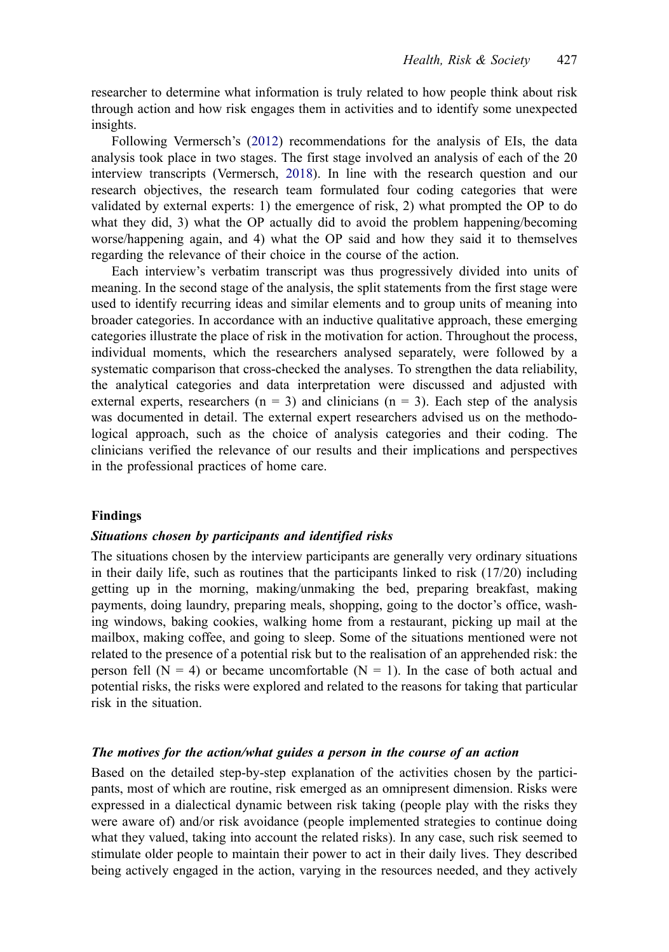researcher to determine what information is truly related to how people think about risk through action and how risk engages them in activities and to identify some unexpected insights.

Following Vermersch's [\(2012\)](#page-15-10) recommendations for the analysis of EIs, the data analysis took place in two stages. The first stage involved an analysis of each of the 20 interview transcripts (Vermersch, [2018\)](#page-15-11). In line with the research question and our research objectives, the research team formulated four coding categories that were validated by external experts: 1) the emergence of risk, 2) what prompted the OP to do what they did, 3) what the OP actually did to avoid the problem happening/becoming worse/happening again, and 4) what the OP said and how they said it to themselves regarding the relevance of their choice in the course of the action.

Each interview's verbatim transcript was thus progressively divided into units of meaning. In the second stage of the analysis, the split statements from the first stage were used to identify recurring ideas and similar elements and to group units of meaning into broader categories. In accordance with an inductive qualitative approach, these emerging categories illustrate the place of risk in the motivation for action. Throughout the process, individual moments, which the researchers analysed separately, were followed by a systematic comparison that cross-checked the analyses. To strengthen the data reliability, the analytical categories and data interpretation were discussed and adjusted with external experts, researchers ( $n = 3$ ) and clinicians ( $n = 3$ ). Each step of the analysis was documented in detail. The external expert researchers advised us on the methodological approach, such as the choice of analysis categories and their coding. The clinicians verified the relevance of our results and their implications and perspectives in the professional practices of home care.

#### **Findings**

## *Situations chosen by participants and identified risks*

The situations chosen by the interview participants are generally very ordinary situations in their daily life, such as routines that the participants linked to risk  $(17/20)$  including getting up in the morning, making/unmaking the bed, preparing breakfast, making payments, doing laundry, preparing meals, shopping, going to the doctor's office, washing windows, baking cookies, walking home from a restaurant, picking up mail at the mailbox, making coffee, and going to sleep. Some of the situations mentioned were not related to the presence of a potential risk but to the realisation of an apprehended risk: the person fell ( $N = 4$ ) or became uncomfortable ( $N = 1$ ). In the case of both actual and potential risks, the risks were explored and related to the reasons for taking that particular risk in the situation.

## *The motives for the action/what guides a person in the course of an action*

Based on the detailed step-by-step explanation of the activities chosen by the participants, most of which are routine, risk emerged as an omnipresent dimension. Risks were expressed in a dialectical dynamic between risk taking (people play with the risks they were aware of) and/or risk avoidance (people implemented strategies to continue doing what they valued, taking into account the related risks). In any case, such risk seemed to stimulate older people to maintain their power to act in their daily lives. They described being actively engaged in the action, varying in the resources needed, and they actively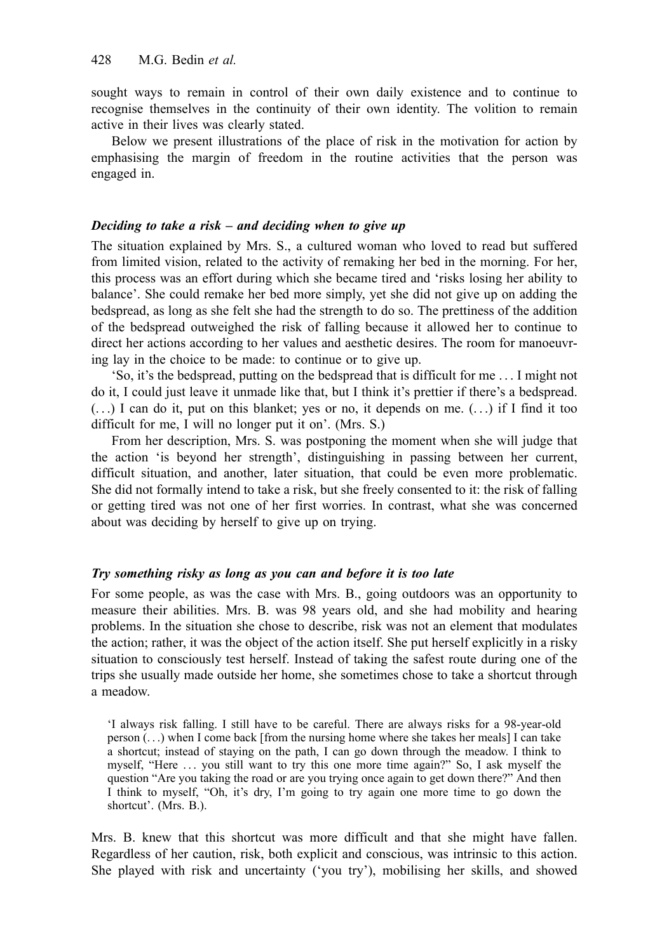sought ways to remain in control of their own daily existence and to continue to recognise themselves in the continuity of their own identity. The volition to remain active in their lives was clearly stated.

Below we present illustrations of the place of risk in the motivation for action by emphasising the margin of freedom in the routine activities that the person was engaged in.

## *Deciding to take a risk – and deciding when to give up*

The situation explained by Mrs. S., a cultured woman who loved to read but suffered from limited vision, related to the activity of remaking her bed in the morning. For her, this process was an effort during which she became tired and 'risks losing her ability to balance'. She could remake her bed more simply, yet she did not give up on adding the bedspread, as long as she felt she had the strength to do so. The prettiness of the addition of the bedspread outweighed the risk of falling because it allowed her to continue to direct her actions according to her values and aesthetic desires. The room for manoeuvring lay in the choice to be made: to continue or to give up.

'So, it's the bedspread, putting on the bedspread that is difficult for me . . . I might not do it, I could just leave it unmade like that, but I think it's prettier if there's a bedspread.  $(\ldots)$  I can do it, put on this blanket; yes or no, it depends on me.  $(\ldots)$  if I find it too difficult for me, I will no longer put it on'. (Mrs. S.)

From her description, Mrs. S. was postponing the moment when she will judge that the action 'is beyond her strength', distinguishing in passing between her current, difficult situation, and another, later situation, that could be even more problematic. She did not formally intend to take a risk, but she freely consented to it: the risk of falling or getting tired was not one of her first worries. In contrast, what she was concerned about was deciding by herself to give up on trying.

#### *Try something risky as long as you can and before it is too late*

For some people, as was the case with Mrs. B., going outdoors was an opportunity to measure their abilities. Mrs. B. was 98 years old, and she had mobility and hearing problems. In the situation she chose to describe, risk was not an element that modulates the action; rather, it was the object of the action itself. She put herself explicitly in a risky situation to consciously test herself. Instead of taking the safest route during one of the trips she usually made outside her home, she sometimes chose to take a shortcut through a meadow.

'I always risk falling. I still have to be careful. There are always risks for a 98-year-old person (. . .) when I come back [from the nursing home where she takes her meals] I can take a shortcut; instead of staying on the path, I can go down through the meadow. I think to myself, "Here ... you still want to try this one more time again?" So, I ask myself the question "Are you taking the road or are you trying once again to get down there?" And then I think to myself, "Oh, it's dry, I'm going to try again one more time to go down the shortcut'. (Mrs. B.).

Mrs. B. knew that this shortcut was more difficult and that she might have fallen. Regardless of her caution, risk, both explicit and conscious, was intrinsic to this action. She played with risk and uncertainty ('you try'), mobilising her skills, and showed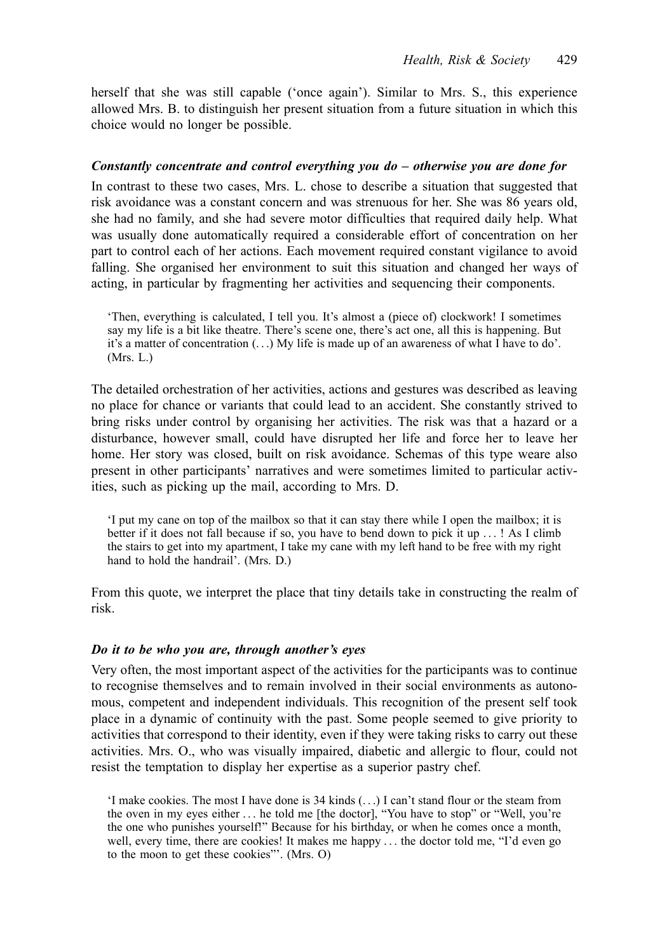herself that she was still capable ('once again'). Similar to Mrs. S., this experience allowed Mrs. B. to distinguish her present situation from a future situation in which this choice would no longer be possible.

### *Constantly concentrate and control everything you do – otherwise you are done for*

In contrast to these two cases, Mrs. L. chose to describe a situation that suggested that risk avoidance was a constant concern and was strenuous for her. She was 86 years old, she had no family, and she had severe motor difficulties that required daily help. What was usually done automatically required a considerable effort of concentration on her part to control each of her actions. Each movement required constant vigilance to avoid falling. She organised her environment to suit this situation and changed her ways of acting, in particular by fragmenting her activities and sequencing their components.

'Then, everything is calculated, I tell you. It's almost a (piece of) clockwork! I sometimes say my life is a bit like theatre. There's scene one, there's act one, all this is happening. But it's a matter of concentration (. . .) My life is made up of an awareness of what I have to do'. (Mrs. L.)

The detailed orchestration of her activities, actions and gestures was described as leaving no place for chance or variants that could lead to an accident. She constantly strived to bring risks under control by organising her activities. The risk was that a hazard or a disturbance, however small, could have disrupted her life and force her to leave her home. Her story was closed, built on risk avoidance. Schemas of this type weare also present in other participants' narratives and were sometimes limited to particular activities, such as picking up the mail, according to Mrs. D.

'I put my cane on top of the mailbox so that it can stay there while I open the mailbox; it is better if it does not fall because if so, you have to bend down to pick it up . . . ! As I climb the stairs to get into my apartment, I take my cane with my left hand to be free with my right hand to hold the handrail'. (Mrs. D.)

From this quote, we interpret the place that tiny details take in constructing the realm of risk.

#### *Do it to be who you are, through another's eyes*

Very often, the most important aspect of the activities for the participants was to continue to recognise themselves and to remain involved in their social environments as autonomous, competent and independent individuals. This recognition of the present self took place in a dynamic of continuity with the past. Some people seemed to give priority to activities that correspond to their identity, even if they were taking risks to carry out these activities. Mrs. O., who was visually impaired, diabetic and allergic to flour, could not resist the temptation to display her expertise as a superior pastry chef.

'I make cookies. The most I have done is 34 kinds (. . .) I can't stand flour or the steam from the oven in my eyes either . . . he told me [the doctor], "You have to stop" or "Well, you're the one who punishes yourself!" Because for his birthday, or when he comes once a month, well, every time, there are cookies! It makes me happy . . . the doctor told me, "I'd even go to the moon to get these cookies"'. (Mrs. O)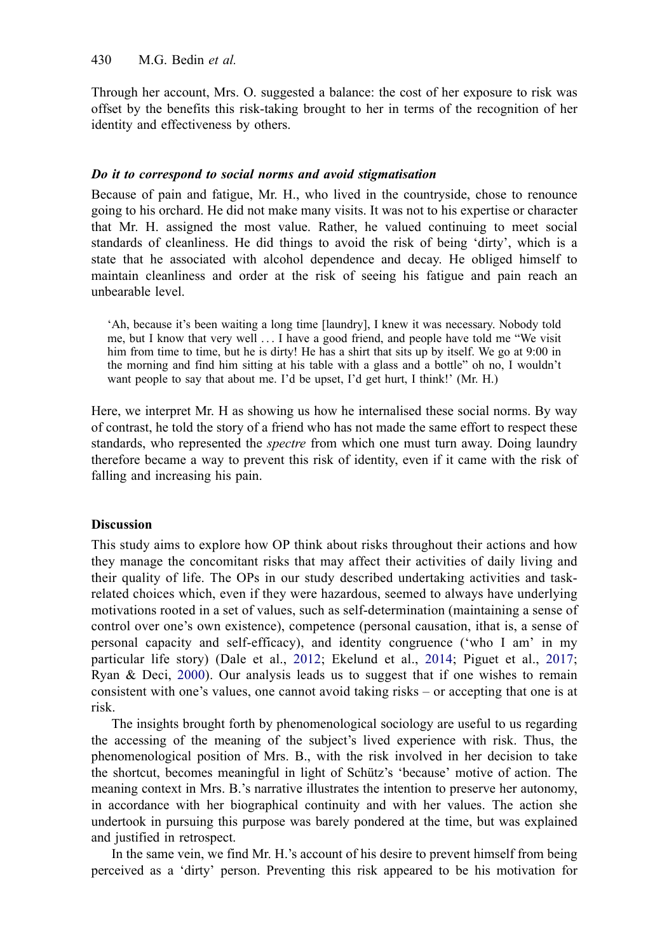Through her account, Mrs. O. suggested a balance: the cost of her exposure to risk was offset by the benefits this risk-taking brought to her in terms of the recognition of her identity and effectiveness by others.

## *Do it to correspond to social norms and avoid stigmatisation*

Because of pain and fatigue, Mr. H., who lived in the countryside, chose to renounce going to his orchard. He did not make many visits. It was not to his expertise or character that Mr. H. assigned the most value. Rather, he valued continuing to meet social standards of cleanliness. He did things to avoid the risk of being 'dirty', which is a state that he associated with alcohol dependence and decay. He obliged himself to maintain cleanliness and order at the risk of seeing his fatigue and pain reach an unbearable level.

'Ah, because it's been waiting a long time [laundry], I knew it was necessary. Nobody told me, but I know that very well . . . I have a good friend, and people have told me "We visit him from time to time, but he is dirty! He has a shirt that sits up by itself. We go at 9:00 in the morning and find him sitting at his table with a glass and a bottle" oh no, I wouldn't want people to say that about me. I'd be upset, I'd get hurt, I think!' (Mr. H.)

Here, we interpret Mr. H as showing us how he internalised these social norms. By way of contrast, he told the story of a friend who has not made the same effort to respect these standards, who represented the *spectre* from which one must turn away. Doing laundry therefore became a way to prevent this risk of identity, even if it came with the risk of falling and increasing his pain.

## **Discussion**

This study aims to explore how OP think about risks throughout their actions and how they manage the concomitant risks that may affect their activities of daily living and their quality of life. The OPs in our study described undertaking activities and taskrelated choices which, even if they were hazardous, seemed to always have underlying motivations rooted in a set of values, such as self-determination (maintaining a sense of control over one's own existence), competence (personal causation, ithat is, a sense of personal capacity and self-efficacy), and identity congruence ('who I am' in my particular life story) (Dale et al., [2012;](#page-13-9) Ekelund et al., [2014;](#page-14-20) Piguet et al., [2017](#page-15-7); Ryan & Deci, [2000](#page-15-12)). Our analysis leads us to suggest that if one wishes to remain consistent with one's values, one cannot avoid taking risks – or accepting that one is at risk.

<span id="page-9-1"></span><span id="page-9-0"></span>The insights brought forth by phenomenological sociology are useful to us regarding the accessing of the meaning of the subject's lived experience with risk. Thus, the phenomenological position of Mrs. B., with the risk involved in her decision to take the shortcut, becomes meaningful in light of Schütz's 'because' motive of action. The meaning context in Mrs. B.'s narrative illustrates the intention to preserve her autonomy, in accordance with her biographical continuity and with her values. The action she undertook in pursuing this purpose was barely pondered at the time, but was explained and justified in retrospect.

In the same vein, we find Mr. H.'s account of his desire to prevent himself from being perceived as a 'dirty' person. Preventing this risk appeared to be his motivation for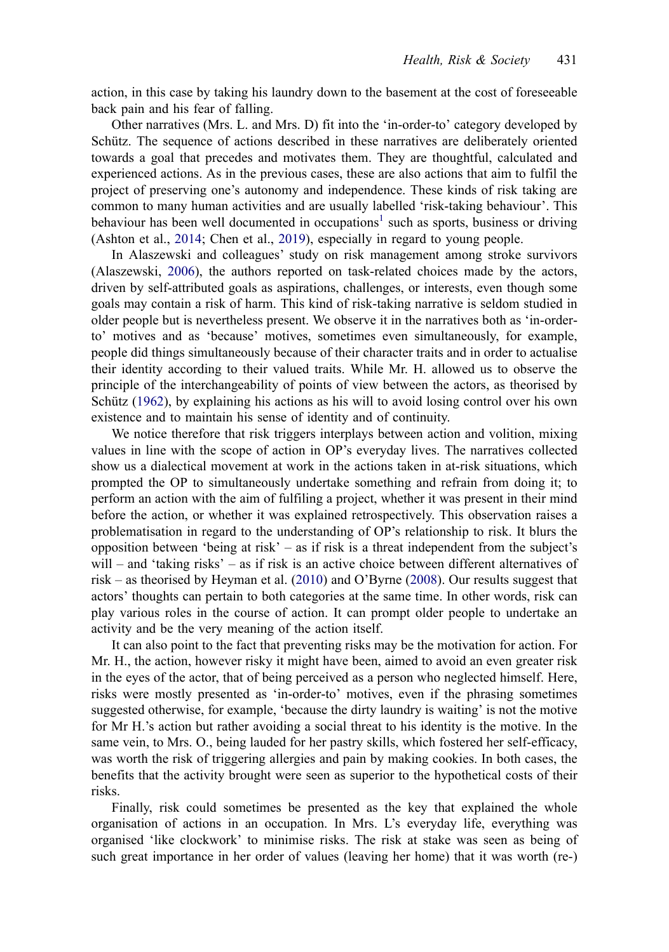action, in this case by taking his laundry down to the basement at the cost of foreseeable back pain and his fear of falling.

Other narratives (Mrs. L. and Mrs. D) fit into the 'in-order-to' category developed by Schütz. The sequence of actions described in these narratives are deliberately oriented towards a goal that precedes and motivates them. They are thoughtful, calculated and experienced actions. As in the previous cases, these are also actions that aim to fulfil the project of preserving one's autonomy and independence. These kinds of risk taking are common to many human activities and are usually labelled 'risk-taking behaviour'. This behaviour has been well documented in occupations<sup>[1](#page-13-10)</sup> such as sports, business or driving (Ashton et al., [2014;](#page-13-11) Chen et al., [2019](#page-13-12)), especially in regard to young people.

<span id="page-10-0"></span>In Alaszewski and colleagues' study on risk management among stroke survivors (Alaszewski, [2006\)](#page-13-2), the authors reported on task-related choices made by the actors, driven by self-attributed goals as aspirations, challenges, or interests, even though some goals may contain a risk of harm. This kind of risk-taking narrative is seldom studied in older people but is nevertheless present. We observe it in the narratives both as 'in-orderto' motives and as 'because' motives, sometimes even simultaneously, for example, people did things simultaneously because of their character traits and in order to actualise their identity according to their valued traits. While Mr. H. allowed us to observe the principle of the interchangeability of points of view between the actors, as theorised by Schütz ([1962\)](#page-15-9), by explaining his actions as his will to avoid losing control over his own existence and to maintain his sense of identity and of continuity.

We notice therefore that risk triggers interplays between action and volition, mixing values in line with the scope of action in OP's everyday lives. The narratives collected show us a dialectical movement at work in the actions taken in at-risk situations, which prompted the OP to simultaneously undertake something and refrain from doing it; to perform an action with the aim of fulfiling a project, whether it was present in their mind before the action, or whether it was explained retrospectively. This observation raises a problematisation in regard to the understanding of OP's relationship to risk. It blurs the opposition between 'being at risk' – as if risk is a threat independent from the subject's will – and 'taking risks' – as if risk is an active choice between different alternatives of risk – as theorised by Heyman et al. [\(2010](#page-14-5)) and O'Byrne ([2008\)](#page-15-13). Our results suggest that actors' thoughts can pertain to both categories at the same time. In other words, risk can play various roles in the course of action. It can prompt older people to undertake an activity and be the very meaning of the action itself.

<span id="page-10-1"></span>It can also point to the fact that preventing risks may be the motivation for action. For Mr. H., the action, however risky it might have been, aimed to avoid an even greater risk in the eyes of the actor, that of being perceived as a person who neglected himself. Here, risks were mostly presented as 'in-order-to' motives, even if the phrasing sometimes suggested otherwise, for example, 'because the dirty laundry is waiting' is not the motive for Mr H.'s action but rather avoiding a social threat to his identity is the motive. In the same vein, to Mrs. O., being lauded for her pastry skills, which fostered her self-efficacy, was worth the risk of triggering allergies and pain by making cookies. In both cases, the benefits that the activity brought were seen as superior to the hypothetical costs of their risks.

Finally, risk could sometimes be presented as the key that explained the whole organisation of actions in an occupation. In Mrs. L's everyday life, everything was organised 'like clockwork' to minimise risks. The risk at stake was seen as being of such great importance in her order of values (leaving her home) that it was worth (re-)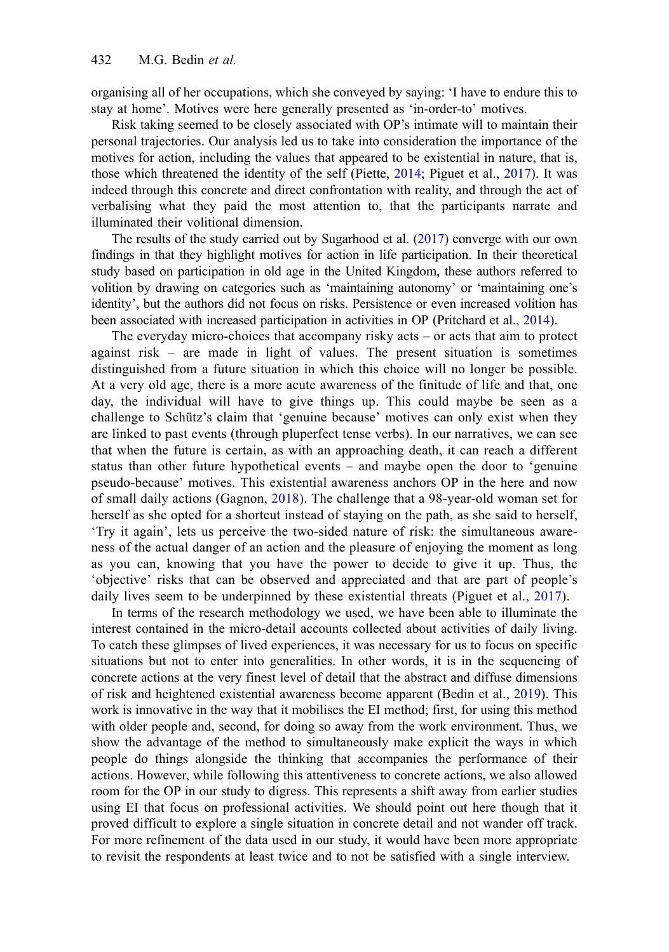organising all of her occupations, which she conveyed by saying: 'I have to endure this to stay at home'. Motives were here generally presented as 'in-order-to' motives.

<span id="page-11-2"></span>Risk taking seemed to be closely associated with OP's intimate will to maintain their personal trajectories. Our analysis led us to take into consideration the importance of the motives for action, including the values that appeared to be existential in nature, that is, those which threatened the identity of the self (Piette, [2014;](#page-15-14) Piguet et al., [2017\)](#page-15-7). It was indeed through this concrete and direct confrontation with reality, and through the act of verbalising what they paid the most attention to, that the participants narrate and illuminated their volitional dimension.

The results of the study carried out by Sugarhood et al. [\(2017\)](#page-15-2) converge with our own findings in that they highlight motives for action in life participation. In their theoretical study based on participation in old age in the United Kingdom, these authors referred to volition by drawing on categories such as 'maintaining autonomy' or 'maintaining one's identity', but the authors did not focus on risks. Persistence or even increased volition has been associated with increased participation in activities in OP (Pritchard et al., [2014\)](#page-15-15).

<span id="page-11-3"></span>The everyday micro-choices that accompany risky acts – or acts that aim to protect against risk – are made in light of values. The present situation is sometimes distinguished from a future situation in which this choice will no longer be possible. At a very old age, there is a more acute awareness of the finitude of life and that, one day, the individual will have to give things up. This could maybe be seen as a challenge to Schütz's claim that 'genuine because' motives can only exist when they are linked to past events (through pluperfect tense verbs). In our narratives, we can see that when the future is certain, as with an approaching death, it can reach a different status than other future hypothetical events – and maybe open the door to 'genuine pseudo-because' motives. This existential awareness anchors OP in the here and now of small daily actions (Gagnon, [2018\)](#page-14-21). The challenge that a 98-year-old woman set for herself as she opted for a shortcut instead of staying on the path, as she said to herself, 'Try it again', lets us perceive the two-sided nature of risk: the simultaneous awareness of the actual danger of an action and the pleasure of enjoying the moment as long as you can, knowing that you have the power to decide to give it up. Thus, the 'objective' risks that can be observed and appreciated and that are part of people's daily lives seem to be underpinned by these existential threats (Piguet et al., [2017](#page-15-7)).

<span id="page-11-1"></span><span id="page-11-0"></span>In terms of the research methodology we used, we have been able to illuminate the interest contained in the micro-detail accounts collected about activities of daily living. To catch these glimpses of lived experiences, it was necessary for us to focus on specific situations but not to enter into generalities. In other words, it is in the sequencing of concrete actions at the very finest level of detail that the abstract and diffuse dimensions of risk and heightened existential awareness become apparent (Bedin et al., [2019](#page-13-13)). This work is innovative in the way that it mobilises the EI method; first, for using this method with older people and, second, for doing so away from the work environment. Thus, we show the advantage of the method to simultaneously make explicit the ways in which people do things alongside the thinking that accompanies the performance of their actions. However, while following this attentiveness to concrete actions, we also allowed room for the OP in our study to digress. This represents a shift away from earlier studies using EI that focus on professional activities. We should point out here though that it proved difficult to explore a single situation in concrete detail and not wander off track. For more refinement of the data used in our study, it would have been more appropriate to revisit the respondents at least twice and to not be satisfied with a single interview.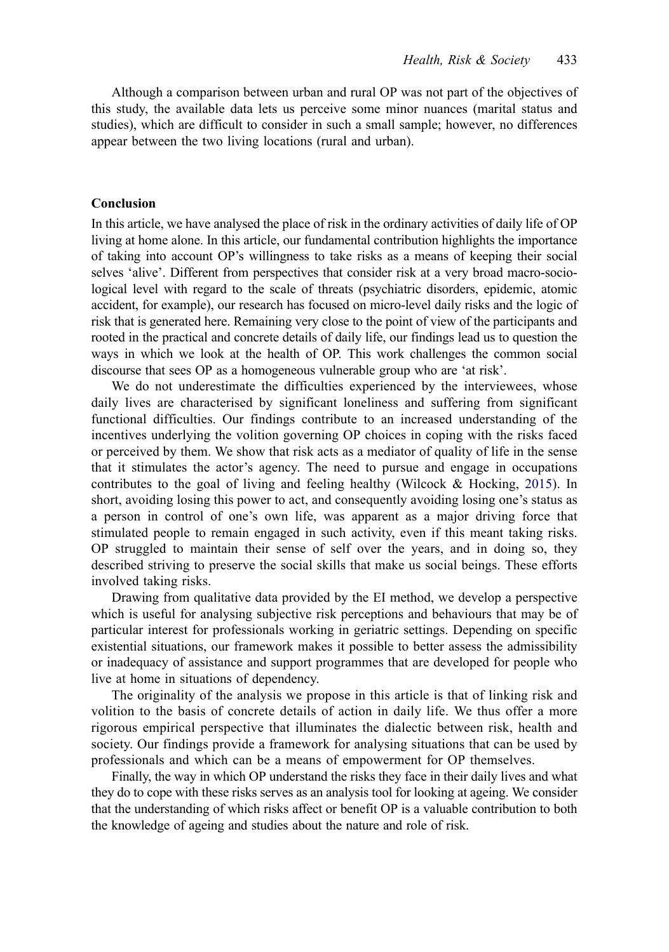Although a comparison between urban and rural OP was not part of the objectives of this study, the available data lets us perceive some minor nuances (marital status and studies), which are difficult to consider in such a small sample; however, no differences appear between the two living locations (rural and urban).

#### **Conclusion**

In this article, we have analysed the place of risk in the ordinary activities of daily life of OP living at home alone. In this article, our fundamental contribution highlights the importance of taking into account OP's willingness to take risks as a means of keeping their social selves 'alive'. Different from perspectives that consider risk at a very broad macro-sociological level with regard to the scale of threats (psychiatric disorders, epidemic, atomic accident, for example), our research has focused on micro-level daily risks and the logic of risk that is generated here. Remaining very close to the point of view of the participants and rooted in the practical and concrete details of daily life, our findings lead us to question the ways in which we look at the health of OP. This work challenges the common social discourse that sees OP as a homogeneous vulnerable group who are 'at risk'.

<span id="page-12-0"></span>We do not underestimate the difficulties experienced by the interviewees, whose daily lives are characterised by significant loneliness and suffering from significant functional difficulties. Our findings contribute to an increased understanding of the incentives underlying the volition governing OP choices in coping with the risks faced or perceived by them. We show that risk acts as a mediator of quality of life in the sense that it stimulates the actor's agency. The need to pursue and engage in occupations contributes to the goal of living and feeling healthy (Wilcock  $\&$  Hocking, [2015](#page-15-16)). In short, avoiding losing this power to act, and consequently avoiding losing one's status as a person in control of one's own life, was apparent as a major driving force that stimulated people to remain engaged in such activity, even if this meant taking risks. OP struggled to maintain their sense of self over the years, and in doing so, they described striving to preserve the social skills that make us social beings. These efforts involved taking risks.

Drawing from qualitative data provided by the EI method, we develop a perspective which is useful for analysing subjective risk perceptions and behaviours that may be of particular interest for professionals working in geriatric settings. Depending on specific existential situations, our framework makes it possible to better assess the admissibility or inadequacy of assistance and support programmes that are developed for people who live at home in situations of dependency.

The originality of the analysis we propose in this article is that of linking risk and volition to the basis of concrete details of action in daily life. We thus offer a more rigorous empirical perspective that illuminates the dialectic between risk, health and society. Our findings provide a framework for analysing situations that can be used by professionals and which can be a means of empowerment for OP themselves.

Finally, the way in which OP understand the risks they face in their daily lives and what they do to cope with these risks serves as an analysis tool for looking at ageing. We consider that the understanding of which risks affect or benefit OP is a valuable contribution to both the knowledge of ageing and studies about the nature and role of risk.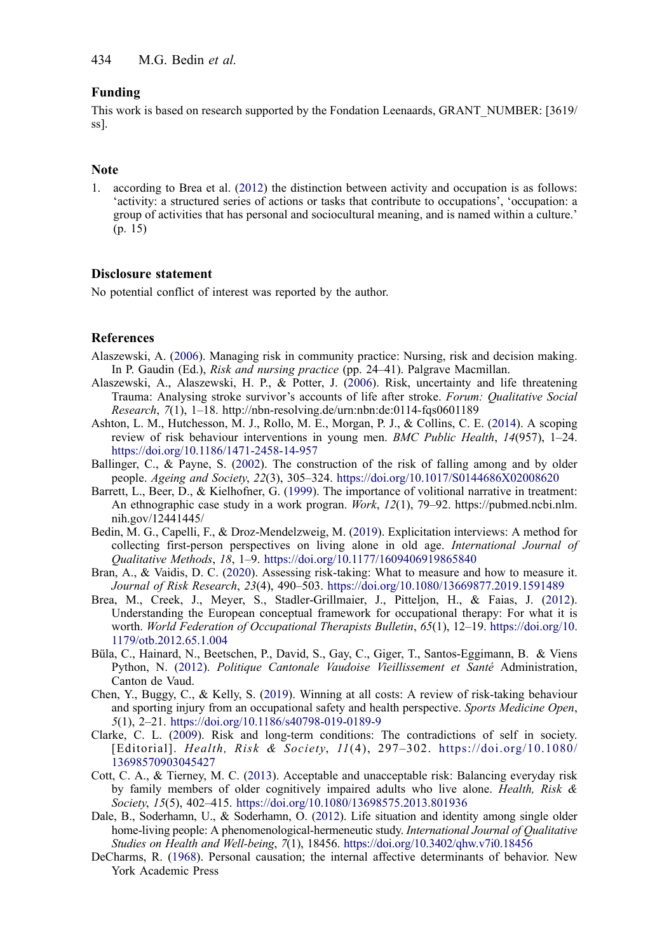### **Funding**

This work is based on research supported by the Fondation Leenaards, GRANT\_NUMBER: [3619/ ss].

#### **Note**

<span id="page-13-10"></span>1. according to Brea et al. [\(2012](#page-13-14)) the distinction between activity and occupation is as follows: 'activity: a structured series of actions or tasks that contribute to occupations', 'occupation: a group of activities that has personal and sociocultural meaning, and is named within a culture.' (p. 15)

## **Disclosure statement**

No potential conflict of interest was reported by the author.

## **References**

- <span id="page-13-2"></span>Alaszewski, A. [\(2006](#page-1-0)). Managing risk in community practice: Nursing, risk and decision making. In P. Gaudin (Ed.), *Risk and nursing practice* (pp. 24–41). Palgrave Macmillan.
- <span id="page-13-4"></span>Alaszewski, A., Alaszewski, H. P., & Potter, J. ([2006\)](#page-2-0). Risk, uncertainty and life threatening Trauma: Analysing stroke survivor's accounts of life after stroke. *Forum: Qualitative Social Research*, *7*(1), 1–18. http://nbn-resolving.de/urn:nbn:de:0114-fqs0601189
- <span id="page-13-11"></span>Ashton, L. M., Hutchesson, M. J., Rollo, M. E., Morgan, P. J., & Collins, C. E. ([2014\)](#page-10-0). A scoping review of risk behaviour interventions in young men. *BMC Public Health*, *14*(957), 1–24. <https://doi.org/10.1186/1471-2458-14-957>
- <span id="page-13-6"></span>Ballinger, C., & Payne, S. ([2002\)](#page-2-1). The construction of the risk of falling among and by older people. *Ageing and Society*, *22*(3), 305–324. <https://doi.org/10.1017/S0144686X02008620>
- <span id="page-13-7"></span>Barrett, L., Beer, D., & Kielhofner, G. [\(1999](#page-2-2)). The importance of volitional narrative in treatment: An ethnographic case study in a work progran. *Work*, *12*(1), 79–92. https://pubmed.ncbi.nlm. nih.gov/12441445/
- <span id="page-13-13"></span>Bedin, M. G., Capelli, F., & Droz-Mendelzweig, M. ([2019\)](#page-11-0). Explicitation interviews: A method for collecting first-person perspectives on living alone in old age. *International Journal of Qualitative Methods*, *18*, 1–9. <https://doi.org/10.1177/1609406919865840>
- <span id="page-13-3"></span>Bran, A., & Vaidis, D. C. [\(2020](#page-1-0)). Assessing risk-taking: What to measure and how to measure it. *Journal of Risk Research*, *23*(4), 490–503. <https://doi.org/10.1080/13669877.2019.1591489>
- <span id="page-13-14"></span>Brea, M., Creek, J., Meyer, S., Stadler-Grillmaier, J., Pitteljon, H., & Faias, J. ([2012\)](#page-13-10). Understanding the European conceptual framework for occupational therapy: For what it is worth. *World Federation of Occupational Therapists Bulletin*, *65*(1), 12–19. [https://doi.org/10.](https://doi.org/10.1179/otb.2012.65.1.004) [1179/otb.2012.65.1.004](https://doi.org/10.1179/otb.2012.65.1.004)
- <span id="page-13-1"></span>Büla, C., Hainard, N., Beetschen, P., David, S., Gay, C., Giger, T., Santos-Eggimann, B. & Viens Python, N. ([2012\)](#page-1-1). *Politique Cantonale Vaudoise Vieillissement et Santé* Administration, Canton de Vaud.
- <span id="page-13-12"></span>Chen, Y., Buggy, C., & Kelly, S. ([2019\)](#page-10-0). Winning at all costs: A review of risk-taking behaviour and sporting injury from an occupational safety and health perspective. *Sports Medicine Open*, *5*(1), 2–21. <https://doi.org/10.1186/s40798-019-0189-9>
- <span id="page-13-5"></span>Clarke, C. L. ([2009\)](#page-2-0). Risk and long-term conditions: The contradictions of self in society. [Editorial]. *Health, Risk & Society*, *11*(4), 297–302. [https://doi.org/10.1080/](https://doi.org/10.1080/13698570903045427)  [13698570903045427](https://doi.org/10.1080/13698570903045427)
- <span id="page-13-0"></span>Cott, C. A., & Tierney, M. C. ([2013\)](#page-1-2). Acceptable and unacceptable risk: Balancing everyday risk by family members of older cognitively impaired adults who live alone. *Health, Risk & Society*, *15*(5), 402–415. <https://doi.org/10.1080/13698575.2013.801936>
- <span id="page-13-9"></span>Dale, B., Soderhamn, U., & Soderhamn, O. [\(2012\)](#page-9-0). Life situation and identity among single older home-living people: A phenomenological-hermeneutic study. *International Journal of Qualitative Studies on Health and Well-being*, *7*(1), 18456. <https://doi.org/10.3402/qhw.v7i0.18456>
- <span id="page-13-8"></span>DeCharms, R. ([1968\)](#page-2-2). Personal causation; the internal affective determinants of behavior. New York Academic Press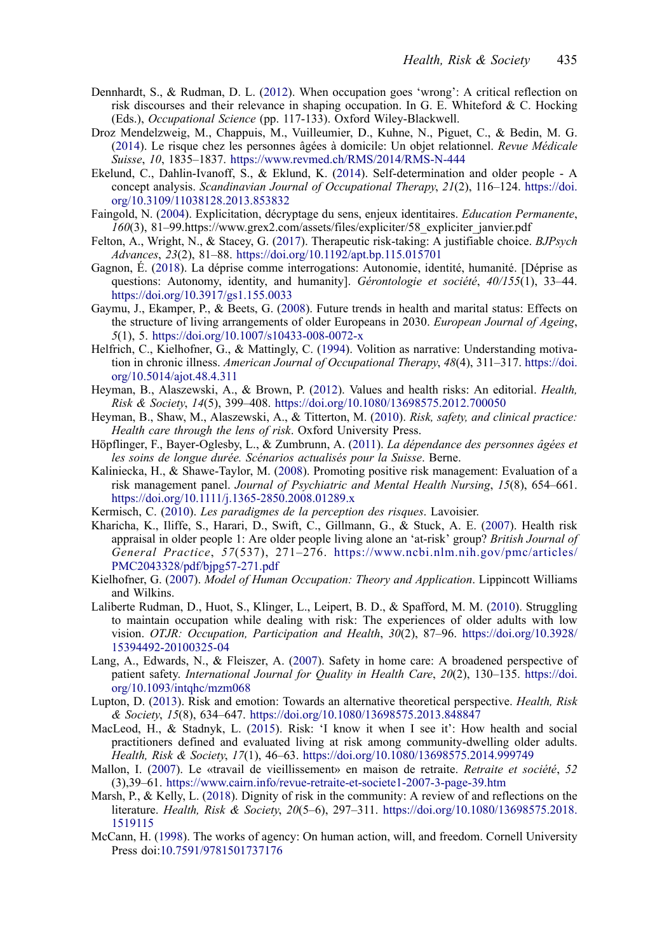- <span id="page-14-6"></span>Dennhardt, S., & Rudman, D. L. ([2012](#page-1-3)). When occupation goes 'wrong': A critical reflection on risk discourses and their relevance in shaping occupation. In G. E. Whiteford & C. Hocking (Eds.), *Occupational Science* (pp. 117-133). Oxford Wiley-Blackwell.
- <span id="page-14-3"></span>Droz Mendelzweig, M., Chappuis, M., Vuilleumier, D., Kuhne, N., Piguet, C., & Bedin, M. G. [\(2014](#page-1-2)). Le risque chez les personnes âgées à domicile: Un objet relationnel. *Revue Médicale Suisse*, *10*, 1835–1837. <https://www.revmed.ch/RMS/2014/RMS-N-444>
- <span id="page-14-20"></span>Ekelund, C., Dahlin-Ivanoff, S., & Eklund, K. [\(2014](#page-9-0)). Self-determination and older people - A concept analysis. *Scandinavian Journal of Occupational Therapy*, *21*(2), 116–124. [https://doi.](https://doi.org/10.3109/11038128.2013.853832)  [org/10.3109/11038128.2013.853832](https://doi.org/10.3109/11038128.2013.853832)
- <span id="page-14-19"></span>Faingold, N. [\(2004](#page-3-0)). Explicitation, décryptage du sens, enjeux identitaires. *Education Permanente*, *160*(3), 81–99.https://www.grex2.com/assets/files/expliciter/58\_expliciter\_janvier.pdf
- <span id="page-14-9"></span>Felton, A., Wright, N., & Stacey, G. ([2017\)](#page-2-3). Therapeutic risk-taking: A justifiable choice. *BJPsych Advances*, *23*(2), 81–88. <https://doi.org/10.1192/apt.bp.115.015701>
- <span id="page-14-21"></span>Gagnon, É. ([2018\)](#page-11-1). La déprise comme interrogations: Autonomie, identité, humanité. [Déprise as questions: Autonomy, identity, and humanity]. *Gérontologie et société*, *40/155*(1), 33–44. <https://doi.org/10.3917/gs1.155.0033>
- <span id="page-14-0"></span>Gaymu, J., Ekamper, P., & Beets, G. [\(2008](#page-1-4)). Future trends in health and marital status: Effects on the structure of living arrangements of older Europeans in 2030. *European Journal of Ageing*, *5*(1), 5. <https://doi.org/10.1007/s10433-008-0072-x>
- <span id="page-14-16"></span>Helfrich, C., Kielhofner, G., & Mattingly, C. ([1994\)](#page-2-2). Volition as narrative: Understanding motivation in chronic illness. *American Journal of Occupational Therapy*, *48*(4), 311–317. [https://doi.](https://doi.org/10.5014/ajot.48.4.311)  [org/10.5014/ajot.48.4.311](https://doi.org/10.5014/ajot.48.4.311)
- <span id="page-14-10"></span>Heyman, B., Alaszewski, A., & Brown, P. [\(2012](#page-2-3)). Values and health risks: An editorial. *Health, Risk & Society*, *14*(5), 399–408. <https://doi.org/10.1080/13698575.2012.700050>
- <span id="page-14-5"></span>Heyman, B., Shaw, M., Alaszewski, A., & Titterton, M. [\(2010](#page-1-5)). *Risk, safety, and clinical practice: Health care through the lens of risk*. Oxford University Press.
- <span id="page-14-1"></span>Höpflinger, F., Bayer-Oglesby, L., & Zumbrunn, A. [\(2011\)](#page-1-4). *La dépendance des personnes âgées et les soins de longue durée. Scénarios actualisés pour la Suisse*. Berne.
- <span id="page-14-13"></span>Kaliniecka, H., & Shawe-Taylor, M. [\(2008](#page-2-4)). Promoting positive risk management: Evaluation of a risk management panel. *Journal of Psychiatric and Mental Health Nursing*, *15*(8), 654–661. <https://doi.org/10.1111/j.1365-2850.2008.01289.x>
- <span id="page-14-7"></span>Kermisch, C. ([2010\)](#page-1-6). *Les paradigmes de la perception des risques*. Lavoisier.
- <span id="page-14-8"></span>Kharicha, K., Iliffe, S., Harari, D., Swift, C., Gillmann, G., & Stuck, A. E. [\(2007](#page-2-5)). Health risk appraisal in older people 1: Are older people living alone an 'at-risk' group? *British Journal of General Practice*, *57*(537), 271–276. [https://www.ncbi.nlm.nih.gov/pmc/articles/](https://www.ncbi.nlm.nih.gov/pmc/articles/PMC2043328/pdf/bjpg57-271.pdf)  [PMC2043328/pdf/bjpg57-271.pdf](https://www.ncbi.nlm.nih.gov/pmc/articles/PMC2043328/pdf/bjpg57-271.pdf)
- <span id="page-14-17"></span>Kielhofner, G. [\(2007](#page-2-6)). *Model of Human Occupation: Theory and Application*. Lippincott Williams and Wilkins.
- <span id="page-14-14"></span>Laliberte Rudman, D., Huot, S., Klinger, L., Leipert, B. D., & Spafford, M. M. [\(2010](#page-2-7)). Struggling to maintain occupation while dealing with risk: The experiences of older adults with low vision. *OTJR: Occupation, Participation and Health*, *30*(2), 87–96. [https://doi.org/10.3928/](https://doi.org/10.3928/15394492-20100325-04)  [15394492-20100325-04](https://doi.org/10.3928/15394492-20100325-04)
- <span id="page-14-4"></span>Lang, A., Edwards, N., & Fleiszer, A. [\(2007](#page-1-2)). Safety in home care: A broadened perspective of patient safety. *International Journal for Quality in Health Care*, *20*(2), 130–135. [https://doi.](https://doi.org/10.1093/intqhc/mzm068)  [org/10.1093/intqhc/mzm068](https://doi.org/10.1093/intqhc/mzm068)
- <span id="page-14-11"></span>Lupton, D. ([2013\)](#page-2-3). Risk and emotion: Towards an alternative theoretical perspective. *Health, Risk & Society*, *15*(8), 634–647. <https://doi.org/10.1080/13698575.2013.848847>
- <span id="page-14-2"></span>MacLeod, H., & Stadnyk, L. [\(2015](#page-1-4)). Risk: 'I know it when I see it': How health and social practitioners defined and evaluated living at risk among community-dwelling older adults. *Health, Risk & Society*, *17*(1), 46–63. <https://doi.org/10.1080/13698575.2014.999749>
- <span id="page-14-18"></span>Mallon, I. ([2007\)](#page-2-8). Le «travail de vieillissement» en maison de retraite. *Retraite et société*, *52*  (3),39–61. <https://www.cairn.info/revue-retraite-et-societe1-2007-3-page-39.htm>
- <span id="page-14-12"></span>Marsh, P., & Kelly, L. [\(2018](#page-2-3)). Dignity of risk in the community: A review of and reflections on the literature. *Health, Risk & Society*, *20*(5–6), 297–311. [https://doi.org/10.1080/13698575.2018.](https://doi.org/10.1080/13698575.2018.1519115)  [1519115](https://doi.org/10.1080/13698575.2018.1519115)
- <span id="page-14-15"></span>McCann, H. ([1998\)](#page-2-9). The works of agency: On human action, will, and freedom. Cornell University Press doi:[10.7591/9781501737176](https://doi.org/10.7591/9781501737176)